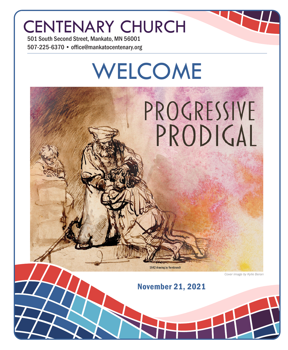## CENTENARY CHURCH

501 South Second Street, Mankato, MN 56001 507-225-6370 • office@mankatocentenary.org

# WELCOME PROGRESSIVE PRODIGAL 1642 drawing by Rembrandt *Cover image by Kylie Beran*November 21, 2021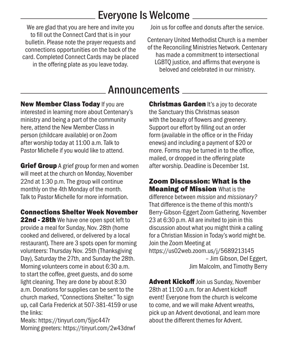## Everyone Is Welcome

We are glad that you are here and invite you to fill out the Connect Card that is in your bulletin. Please note the prayer requests and connections opportunities on the back of the card. Completed Connect Cards may be placed in the offering plate as you leave today.

Join us for coffee and donuts after the service.

Centenary United Methodist Church is a member of the Reconciling Ministries Network. Centenary has made a commitment to intersectional LGBTQ justice, and affirms that everyone is beloved and celebrated in our ministry.

## **Announcements**

New Member Class Today If you are interested in learning more about Centenary's ministry and being a part of the community here, attend the New Member Class in person (childcare available) or on Zoom after worship today at 11:00 a.m. Talk to Pastor Michelle if you would like to attend.

**Grief Group** A grief group for men and women will meet at the church on Monday, November 22nd at 1:30 p.m. The group will continue monthly on the 4th Monday of the month. Talk to Pastor Michelle for more information.

#### Connections Shelter Week November

22nd - 28th We have one open spot left to provide a meal for Sunday, Nov. 28th (home cooked and delivered, or delivered by a local restaurant). There are 3 spots open for morning volunteers: Thursday Nov. 25th (Thanksgiving Day), Saturday the 27th, and Sunday the 28th. Morning volunteers come in about 6:30 a.m. to start the coffee, greet guests, and do some light cleaning. They are done by about 8:30 a.m. Donations for supplies can be sent to the church marked, "Connections Shelter." To sign up, call Carla Frederick at 507-381-4159 or use the links:

Meals: https://tinyurl.com/5jyc447r Morning greeters: https://tinyurl.com/2w43dnwf **Christmas Garden It's a joy to decorate** the Sanctuary this Christmas season with the beauty of flowers and greenery. Support our effort by filling out an order form (available in the office or in the Friday enews) and including a payment of \$20 or more. Forms may be turned in to the office, mailed, or dropped in the offering plate after worship. Deadline is December 1st.

Zoom Discussion: What is the **Meaning of Mission What is the** difference between *mission* and *missionary?* That difference is the theme of this month's Berry-Gibson-Eggert Zoom Gathering, November 23 at 6:30 p.m. All are invited to join in this discussion about what you might think a calling for a Christian Mission in Today's world might be. Join the Zoom Meeting at https://us02web.zoom.us/j/5689213145 – Jim Gibson, Del Eggert, Jim Malcolm, and Timothy Berry

**Advent Kickoff** Join us Sunday, November 28th at 11:00 a.m. for an Advent kickoff event! Everyone from the church is welcome to come, and we will make Advent wreaths, pick up an Advent devotional, and learn more about the different themes for Advent.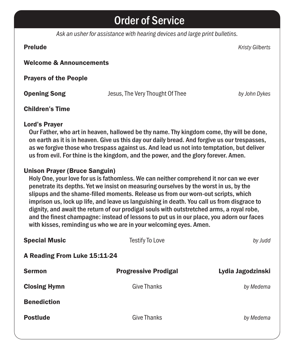### Order of Service

*Ask an usher for assistance with hearing devices and large print bulletins.*

Prelude *Kristy Gilberts*

#### Welcome & Announcements

Prayers of the People

Opening Song Jesus, The Very Thought Of Thee *by John Dykes*

#### Children's Time

#### Lord's Prayer

Our Father, who art in heaven, hallowed be thy name. Thy kingdom come, thy will be done, on earth as it is in heaven. Give us this day our daily bread. And forgive us our trespasses, as we forgive those who trespass against us. And lead us not into temptation, but deliver us from evil. For thine is the kingdom, and the power, and the glory forever. Amen.

#### Unison Prayer (Bruce Sanguin)

Holy One, your love for us is fathomless. We can neither comprehend it nor can we ever penetrate its depths. Yet we insist on measuring ourselves by the worst in us, by the slipups and the shame-filled moments. Release us from our worn-out scripts, which imprison us, lock up life, and leave us languishing in death. You call us from disgrace to dignity, and await the return of our prodigal souls with outstretched arms, a royal robe, and the finest champagne: instead of lessons to put us in our place, you adorn our faces with kisses, reminding us who we are in your welcoming eyes. Amen.

| <b>Special Music</b>         | <b>Testify To Love</b>      | by Judd           |  |
|------------------------------|-----------------------------|-------------------|--|
| A Reading From Luke 15:11-24 |                             |                   |  |
| <b>Sermon</b>                | <b>Progressive Prodigal</b> | Lydia Jagodzinski |  |
| <b>Closing Hymn</b>          | <b>Give Thanks</b>          | by Medema         |  |
| <b>Benediction</b>           |                             |                   |  |
| <b>Postlude</b>              | <b>Give Thanks</b>          | by Medema         |  |